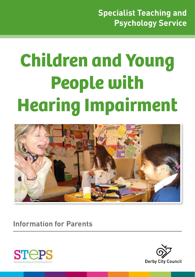# **Children and Young People with Hearing Impairment**



**Information for Parents**



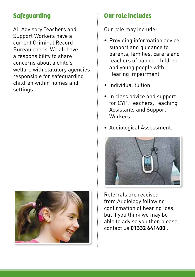## **Safeguarding**

All Advisory Teachers and Support Workers have a current Criminal Record Bureau check. We all have a responsibility to share concerns about a child's welfare with statutory agencies responsible for safeguarding children within homes and settings.



#### **Our role includes**

Our role may include:

- Providing information advice, support and guidance to parents, families, carers and teachers of babies, children and young people with Hearing Impairment.
- Individual tuition.
- In class advice and support for CYP, Teachers, Teaching Assistants and Support Workers.
- Audiological Assessment.



Referrals are received from Audiology following confirmation of hearing loss, but if you think we may be able to advise you then please contact us **01332 641400** .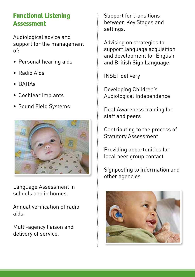### **Functional Listening Assessment**

Audiological advice and support for the management of:

- Personal hearing aids
- Radio Aids
- BAHAs
- Cochlear Implants
- Sound Field Systems



Language Assessment in schools and in homes.

Annual verification of radio aids.

Multi-agency liaison and delivery of service.

Support for transitions between Key Stages and settings.

Advising on strategies to support language acquisition and development for English and British Sign Language

INSET delivery

Developing Children's Audiological Independence

Deaf Awareness training for staff and peers

Contributing to the process of Statutory Assessment

Providing opportunities for local peer group contact

Signposting to information and other agencies